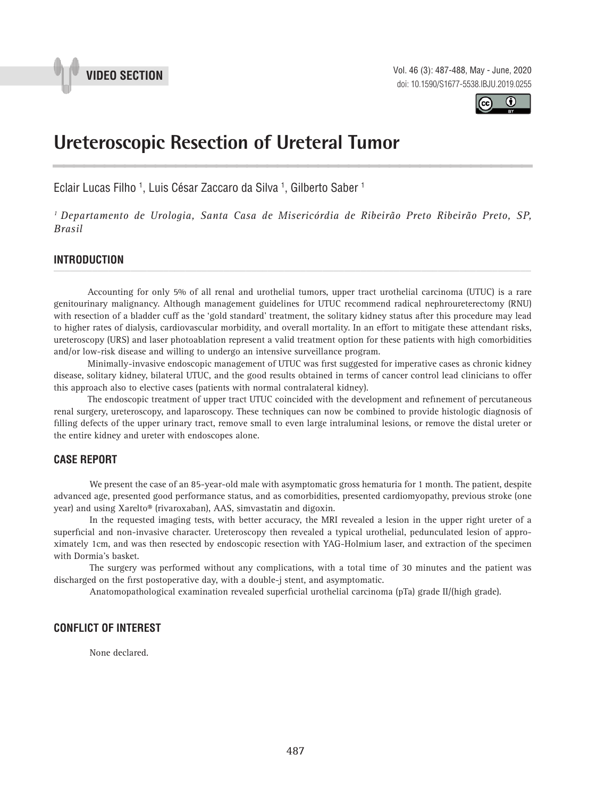

Vol. 46 (3): 487-488, May - June, 2020 doi: 10.1590/S1677-5538.IBJU.2019.0255



## **Ureteroscopic Resection of Ureteral Tumor \_\_\_\_\_\_\_\_\_\_\_\_\_\_\_\_\_\_\_\_\_\_\_\_\_\_\_\_\_\_\_\_\_\_\_\_\_\_\_\_\_\_\_\_\_\_\_**

Eclair Lucas Filho <sup>1</sup>, Luis César Zaccaro da Silva <sup>1</sup>, Gilberto Saber <sup>1</sup>

*1 Departamento de Urologia, Santa Casa de Misericórdia de Ribeirão Preto Ribeirão Preto, SP, Brasil*

# **INTRODUCTION** *\_\_\_\_\_\_\_\_\_\_\_\_\_\_\_\_\_\_\_\_\_\_\_\_\_\_\_\_\_\_\_\_\_\_\_\_\_\_\_\_\_\_\_\_\_\_\_\_\_\_\_\_\_\_\_\_\_\_\_\_\_\_\_\_\_\_\_\_\_\_\_\_\_\_\_\_\_\_\_\_\_\_\_\_\_\_\_*

Accounting for only 5% of all renal and urothelial tumors, upper tract urothelial carcinoma (UTUC) is a rare genitourinary malignancy. Although management guidelines for UTUC recommend radical nephroureterectomy (RNU) with resection of a bladder cuff as the 'gold standard' treatment, the solitary kidney status after this procedure may lead to higher rates of dialysis, cardiovascular morbidity, and overall mortality. In an effort to mitigate these attendant risks, ureteroscopy (URS) and laser photoablation represent a valid treatment option for these patients with high comorbidities and/or low-risk disease and willing to undergo an intensive surveillance program.

Minimally-invasive endoscopic management of UTUC was first suggested for imperative cases as chronic kidney disease, solitary kidney, bilateral UTUC, and the good results obtained in terms of cancer control lead clinicians to offer this approach also to elective cases (patients with normal contralateral kidney).

The endoscopic treatment of upper tract UTUC coincided with the development and refinement of percutaneous renal surgery, ureteroscopy, and laparoscopy. These techniques can now be combined to provide histologic diagnosis of filling defects of the upper urinary tract, remove small to even large intraluminal lesions, or remove the distal ureter or the entire kidney and ureter with endoscopes alone.

#### **CASE REPORT**

We present the case of an 85-year-old male with asymptomatic gross hematuria for 1 month. The patient, despite advanced age, presented good performance status, and as comorbidities, presented cardiomyopathy, previous stroke (one year) and using Xarelto® (rivaroxaban), AAS, simvastatin and digoxin.

In the requested imaging tests, with better accuracy, the MRI revealed a lesion in the upper right ureter of a superficial and non-invasive character. Ureteroscopy then revealed a typical urothelial, pedunculated lesion of approximately 1cm, and was then resected by endoscopic resection with YAG-Holmium laser, and extraction of the specimen with Dormia's basket.

The surgery was performed without any complications, with a total time of 30 minutes and the patient was discharged on the first postoperative day, with a double-j stent, and asymptomatic.

Anatomopathological examination revealed superficial urothelial carcinoma (pTa) grade II/(high grade).

#### **CONFLICT OF INTEREST**

None declared.